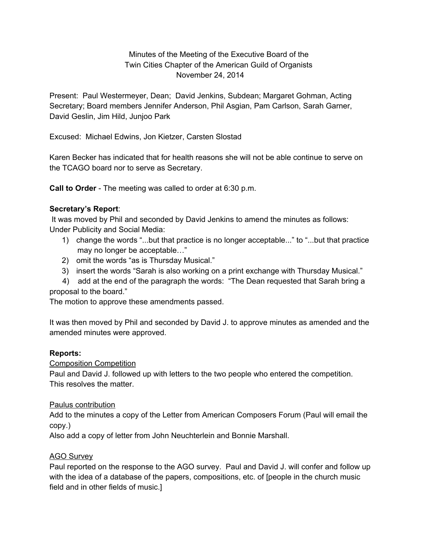# Minutes of the Meeting of the Executive Board of the Twin Cities Chapter of the American Guild of Organists November 24, 2014

Present: Paul Westermeyer, Dean; David Jenkins, Subdean; Margaret Gohman, Acting Secretary; Board members Jennifer Anderson, Phil Asgian, Pam Carlson, Sarah Garner, David Geslin, Jim Hild, Junjoo Park

Excused: Michael Edwins, Jon Kietzer, Carsten Slostad

Karen Becker has indicated that for health reasons she will not be able continue to serve on the TCAGO board nor to serve as Secretary.

**Call to Order** The meeting was called to order at 6:30 p.m.

## **Secretary's Report**:

It was moved by Phil and seconded by David Jenkins to amend the minutes as follows: Under Publicity and Social Media:

- 1) change the words "...but that practice is no longer acceptable..." to "...but that practice may no longer be acceptable…"
- 2) omit the words "as is Thursday Musical."
- 3) insert the words "Sarah is also working on a print exchange with Thursday Musical."
- 4) add at the end of the paragraph the words: "The Dean requested that Sarah bring a proposal to the board."

The motion to approve these amendments passed.

It was then moved by Phil and seconded by David J. to approve minutes as amended and the amended minutes were approved.

## **Reports:**

Composition Competition

Paul and David J. followed up with letters to the two people who entered the competition. This resolves the matter.

## Paulus contribution

Add to the minutes a copy of the Letter from American Composers Forum (Paul will email the copy.)

Also add a copy of letter from John Neuchterlein and Bonnie Marshall.

## AGO Survey

Paul reported on the response to the AGO survey. Paul and David J. will confer and follow up with the idea of a database of the papers, compositions, etc. of [people in the church music field and in other fields of music.]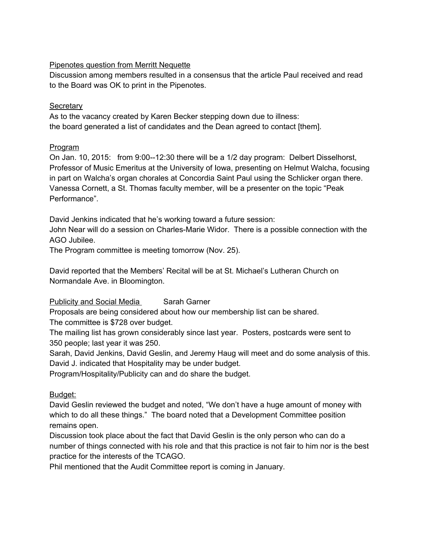## Pipenotes question from Merritt Nequette

Discussion among members resulted in a consensus that the article Paul received and read to the Board was OK to print in the Pipenotes.

## **Secretary**

As to the vacancy created by Karen Becker stepping down due to illness: the board generated a list of candidates and the Dean agreed to contact [them].

# Program

On Jan. 10, 2015: from  $9:00-12:30$  there will be a 1/2 day program: Delbert Disselhorst, Professor of Music Emeritus at the University of Iowa, presenting on Helmut Walcha, focusing in part on Walcha's organ chorales at Concordia Saint Paul using the Schlicker organ there. Vanessa Cornett, a St. Thomas faculty member, will be a presenter on the topic "Peak Performance".

David Jenkins indicated that he's working toward a future session:

John Near will do a session on Charles-Marie Widor. There is a possible connection with the AGO Jubilee.

The Program committee is meeting tomorrow (Nov. 25).

David reported that the Members' Recital will be at St. Michael's Lutheran Church on Normandale Ave. in Bloomington.

**Publicity and Social Media** Sarah Garner

Proposals are being considered about how our membership list can be shared.

The committee is \$728 over budget.

The mailing list has grown considerably since last year. Posters, postcards were sent to 350 people; last year it was 250.

Sarah, David Jenkins, David Geslin, and Jeremy Haug will meet and do some analysis of this. David J. indicated that Hospitality may be under budget.

Program/Hospitality/Publicity can and do share the budget.

# Budget:

David Geslin reviewed the budget and noted, "We don't have a huge amount of money with which to do all these things." The board noted that a Development Committee position remains open.

Discussion took place about the fact that David Geslin is the only person who can do a number of things connected with his role and that this practice is not fair to him nor is the best practice for the interests of the TCAGO.

Phil mentioned that the Audit Committee report is coming in January.